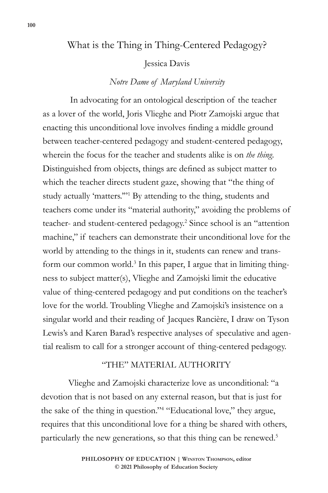# What is the Thing in Thing-Centered Pedagogy?

### Jessica Davis

## *Notre Dame of Maryland University*

In advocating for an ontological description of the teacher as a lover of the world, Joris Vlieghe and Piotr Zamojski argue that enacting this unconditional love involves finding a middle ground between teacher-centered pedagogy and student-centered pedagogy, wherein the focus for the teacher and students alike is on *the thing.*  Distinguished from objects, things are defined as subject matter to which the teacher directs student gaze, showing that "the thing of study actually 'matters."<sup>1</sup> By attending to the thing, students and teachers come under its "material authority," avoiding the problems of teacher- and student-centered pedagogy.2 Since school is an "attention machine," if teachers can demonstrate their unconditional love for the world by attending to the things in it, students can renew and transform our common world.<sup>3</sup> In this paper, I argue that in limiting thingness to subject matter(s), Vlieghe and Zamojski limit the educative value of thing-centered pedagogy and put conditions on the teacher's love for the world. Troubling Vlieghe and Zamojski's insistence on a singular world and their reading of Jacques Rancière, I draw on Tyson Lewis's and Karen Barad's respective analyses of speculative and agential realism to call for a stronger account of thing-centered pedagogy.

## "THE" MATERIAL AUTHORITY

Vlieghe and Zamojski characterize love as unconditional: "a devotion that is not based on any external reason, but that is just for the sake of the thing in question."4 "Educational love," they argue, requires that this unconditional love for a thing be shared with others, particularly the new generations, so that this thing can be renewed.5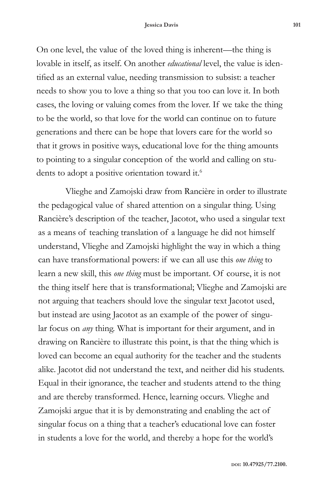On one level, the value of the loved thing is inherent—the thing is lovable in itself, as itself. On another *educational* level, the value is identified as an external value, needing transmission to subsist: a teacher needs to show you to love a thing so that you too can love it. In both cases, the loving or valuing comes from the lover. If we take the thing to be the world, so that love for the world can continue on to future generations and there can be hope that lovers care for the world so that it grows in positive ways, educational love for the thing amounts to pointing to a singular conception of the world and calling on students to adopt a positive orientation toward it.<sup>6</sup>

Vlieghe and Zamojski draw from Rancière in order to illustrate the pedagogical value of shared attention on a singular thing. Using Rancière's description of the teacher, Jacotot, who used a singular text as a means of teaching translation of a language he did not himself understand, Vlieghe and Zamojski highlight the way in which a thing can have transformational powers: if we can all use this *one thing* to learn a new skill, this *one thing* must be important. Of course, it is not the thing itself here that is transformational; Vlieghe and Zamojski are not arguing that teachers should love the singular text Jacotot used, but instead are using Jacotot as an example of the power of singular focus on *any* thing. What is important for their argument, and in drawing on Rancière to illustrate this point, is that the thing which is loved can become an equal authority for the teacher and the students alike. Jacotot did not understand the text, and neither did his students. Equal in their ignorance, the teacher and students attend to the thing and are thereby transformed. Hence, learning occurs. Vlieghe and Zamojski argue that it is by demonstrating and enabling the act of singular focus on a thing that a teacher's educational love can foster in students a love for the world, and thereby a hope for the world's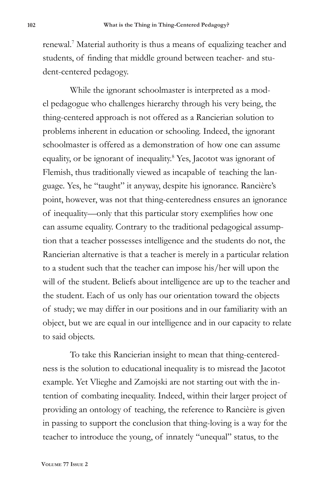renewal.7 Material authority is thus a means of equalizing teacher and students, of finding that middle ground between teacher- and student-centered pedagogy.

While the ignorant schoolmaster is interpreted as a model pedagogue who challenges hierarchy through his very being, the thing-centered approach is not offered as a Rancierian solution to problems inherent in education or schooling. Indeed, the ignorant schoolmaster is offered as a demonstration of how one can assume equality, or be ignorant of inequality.<sup>8</sup> Yes, Jacotot was ignorant of Flemish, thus traditionally viewed as incapable of teaching the language. Yes, he "taught" it anyway, despite his ignorance. Rancière's point, however, was not that thing-centeredness ensures an ignorance of inequality—only that this particular story exemplifies how one can assume equality. Contrary to the traditional pedagogical assumption that a teacher possesses intelligence and the students do not, the Rancierian alternative is that a teacher is merely in a particular relation to a student such that the teacher can impose his/her will upon the will of the student. Beliefs about intelligence are up to the teacher and the student. Each of us only has our orientation toward the objects of study; we may differ in our positions and in our familiarity with an object, but we are equal in our intelligence and in our capacity to relate to said objects.

To take this Rancierian insight to mean that thing-centeredness is the solution to educational inequality is to misread the Jacotot example. Yet Vlieghe and Zamojski are not starting out with the intention of combating inequality. Indeed, within their larger project of providing an ontology of teaching, the reference to Rancière is given in passing to support the conclusion that thing-loving is a way for the teacher to introduce the young, of innately "unequal" status, to the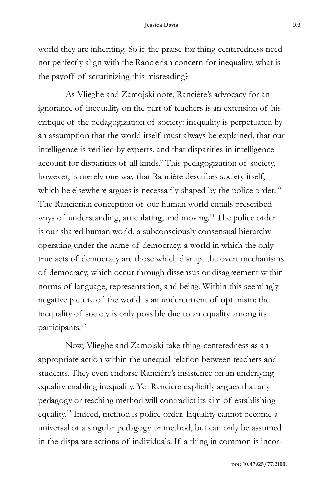world they are inheriting. So if the praise for thing-centeredness need not perfectly align with the Rancierian concern for inequality, what is the payoff of scrutinizing this misreading?

As Vlieghe and Zamojski note, Rancière's advocacy for an ignorance of inequality on the part of teachers is an extension of his critique of the pedagogization of society: inequality is perpetuated by an assumption that the world itself must always be explained, that our intelligence is verified by experts, and that disparities in intelligence account for disparities of all kinds.<sup>9</sup> This pedagogization of society, however, is merely one way that Rancière describes society itself, which he elsewhere argues is necessarily shaped by the police order.<sup>10</sup> The Rancierian conception of our human world entails prescribed ways of understanding, articulating, and moving.<sup>11</sup> The police order is our shared human world, a subconsciously consensual hierarchy operating under the name of democracy, a world in which the only true acts of democracy are those which disrupt the overt mechanisms of democracy, which occur through dissensus or disagreement within norms of language, representation, and being. Within this seemingly negative picture of the world is an undercurrent of optimism: the inequality of society is only possible due to an equality among its participants.<sup>12</sup>

Now, Vlieghe and Zamojski take thing-centeredness as an appropriate action within the unequal relation between teachers and students. They even endorse Rancière's insistence on an underlying equality enabling inequality. Yet Rancière explicitly argues that any pedagogy or teaching method will contradict its aim of establishing equality.13 Indeed, method is police order. Equality cannot become a universal or a singular pedagogy or method, but can only be assumed in the disparate actions of individuals. If a thing in common is incor-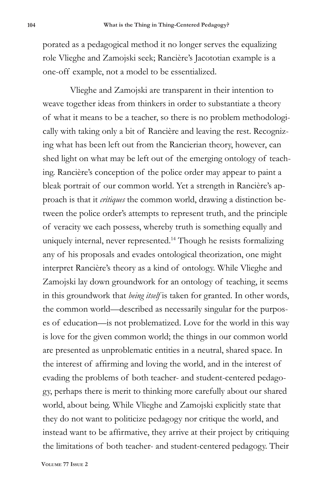porated as a pedagogical method it no longer serves the equalizing role Vlieghe and Zamojski seek; Rancière's Jacototian example is a one-off example, not a model to be essentialized.

Vlieghe and Zamojski are transparent in their intention to weave together ideas from thinkers in order to substantiate a theory of what it means to be a teacher, so there is no problem methodologically with taking only a bit of Rancière and leaving the rest. Recognizing what has been left out from the Rancierian theory, however, can shed light on what may be left out of the emerging ontology of teaching. Rancière's conception of the police order may appear to paint a bleak portrait of our common world. Yet a strength in Rancière's approach is that it *critiques* the common world, drawing a distinction between the police order's attempts to represent truth, and the principle of veracity we each possess, whereby truth is something equally and uniquely internal, never represented.14 Though he resists formalizing any of his proposals and evades ontological theorization, one might interpret Rancière's theory as a kind of ontology. While Vlieghe and Zamojski lay down groundwork for an ontology of teaching, it seems in this groundwork that *being itself* is taken for granted. In other words, the common world—described as necessarily singular for the purposes of education—is not problematized. Love for the world in this way is love for the given common world; the things in our common world are presented as unproblematic entities in a neutral, shared space. In the interest of affirming and loving the world, and in the interest of evading the problems of both teacher- and student-centered pedagogy, perhaps there is merit to thinking more carefully about our shared world, about being. While Vlieghe and Zamojski explicitly state that they do not want to politicize pedagogy nor critique the world, and instead want to be affirmative, they arrive at their project by critiquing the limitations of both teacher- and student-centered pedagogy. Their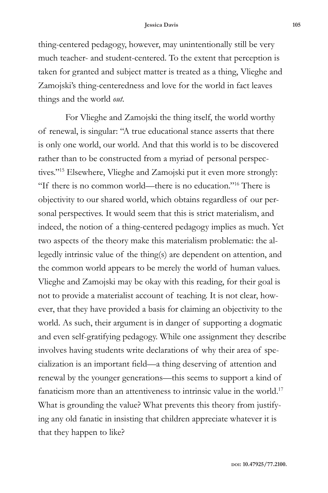thing-centered pedagogy, however, may unintentionally still be very much teacher- and student-centered. To the extent that perception is taken for granted and subject matter is treated as a thing, Vlieghe and Zamojski's thing-centeredness and love for the world in fact leaves things and the world *out*.

For Vlieghe and Zamojski the thing itself, the world worthy of renewal, is singular: "A true educational stance asserts that there is only one world, our world. And that this world is to be discovered rather than to be constructed from a myriad of personal perspectives."15 Elsewhere, Vlieghe and Zamojski put it even more strongly: "If there is no common world—there is no education."16 There is objectivity to our shared world, which obtains regardless of our personal perspectives. It would seem that this is strict materialism, and indeed, the notion of a thing-centered pedagogy implies as much. Yet two aspects of the theory make this materialism problematic: the allegedly intrinsic value of the thing(s) are dependent on attention, and the common world appears to be merely the world of human values. Vlieghe and Zamojski may be okay with this reading, for their goal is not to provide a materialist account of teaching. It is not clear, however, that they have provided a basis for claiming an objectivity to the world. As such, their argument is in danger of supporting a dogmatic and even self-gratifying pedagogy. While one assignment they describe involves having students write declarations of why their area of specialization is an important field—a thing deserving of attention and renewal by the younger generations—this seems to support a kind of fanaticism more than an attentiveness to intrinsic value in the world.<sup>17</sup> What is grounding the value? What prevents this theory from justifying any old fanatic in insisting that children appreciate whatever it is that they happen to like?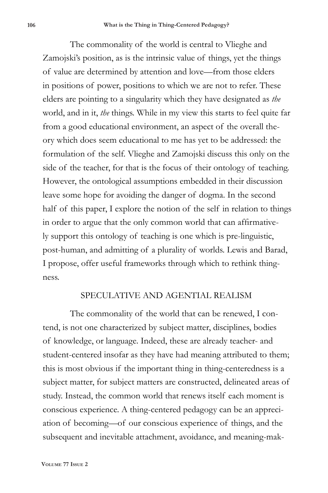The commonality of the world is central to Vlieghe and Zamojski's position, as is the intrinsic value of things, yet the things of value are determined by attention and love—from those elders in positions of power, positions to which we are not to refer. These elders are pointing to a singularity which they have designated as *the*  world, and in it, *the* things. While in my view this starts to feel quite far from a good educational environment, an aspect of the overall theory which does seem educational to me has yet to be addressed: the formulation of the self. Vlieghe and Zamojski discuss this only on the side of the teacher, for that is the focus of their ontology of teaching. However, the ontological assumptions embedded in their discussion leave some hope for avoiding the danger of dogma. In the second half of this paper, I explore the notion of the self in relation to things in order to argue that the only common world that can affirmatively support this ontology of teaching is one which is pre-linguistic, post-human, and admitting of a plurality of worlds. Lewis and Barad, I propose, offer useful frameworks through which to rethink thingness.

### SPECULATIVE AND AGENTIAL REALISM

The commonality of the world that can be renewed, I contend, is not one characterized by subject matter, disciplines, bodies of knowledge, or language. Indeed, these are already teacher- and student-centered insofar as they have had meaning attributed to them; this is most obvious if the important thing in thing-centeredness is a subject matter, for subject matters are constructed, delineated areas of study. Instead, the common world that renews itself each moment is conscious experience. A thing-centered pedagogy can be an appreciation of becoming—of our conscious experience of things, and the subsequent and inevitable attachment, avoidance, and meaning-mak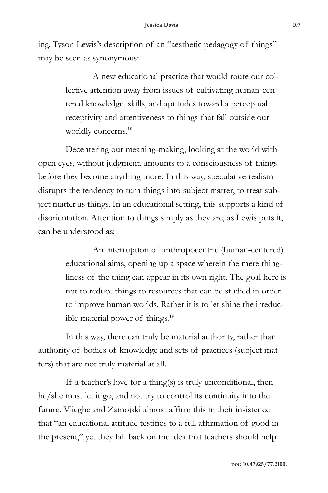ing. Tyson Lewis's description of an "aesthetic pedagogy of things" may be seen as synonymous:

> A new educational practice that would route our collective attention away from issues of cultivating human-centered knowledge, skills, and aptitudes toward a perceptual receptivity and attentiveness to things that fall outside our worldly concerns.<sup>18</sup>

Decentering our meaning-making, looking at the world with open eyes, without judgment, amounts to a consciousness of things before they become anything more. In this way, speculative realism disrupts the tendency to turn things into subject matter, to treat subject matter as things. In an educational setting, this supports a kind of disorientation. Attention to things simply as they are, as Lewis puts it, can be understood as:

> An interruption of anthropocentric (human-centered) educational aims, opening up a space wherein the mere thingliness of the thing can appear in its own right. The goal here is not to reduce things to resources that can be studied in order to improve human worlds. Rather it is to let shine the irreducible material power of things.<sup>19</sup>

In this way, there can truly be material authority, rather than authority of bodies of knowledge and sets of practices (subject matters) that are not truly material at all.

If a teacher's love for a thing(s) is truly unconditional, then he/she must let it go, and not try to control its continuity into the future. Vlieghe and Zamojski almost affirm this in their insistence that "an educational attitude testifies to a full affirmation of good in the present," yet they fall back on the idea that teachers should help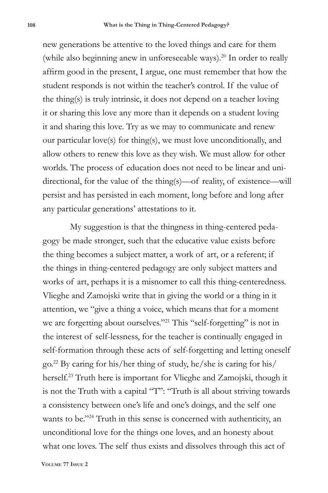new generations be attentive to the loved things and care for them (while also beginning anew in unforeseeable ways).<sup>20</sup> In order to really affirm good in the present, I argue, one must remember that how the student responds is not within the teacher's control. If the value of the thing(s) is truly intrinsic, it does not depend on a teacher loving it or sharing this love any more than it depends on a student loving it and sharing this love. Try as we may to communicate and renew our particular love(s) for thing(s), we must love unconditionally, and allow others to renew this love as they wish. We must allow for other worlds. The process of education does not need to be linear and unidirectional, for the value of the thing(s)—of reality, of existence—will persist and has persisted in each moment, long before and long after any particular generations' attestations to it.

My suggestion is that the thingness in thing-centered pedagogy be made stronger, such that the educative value exists before the thing becomes a subject matter, a work of art, or a referent; if the things in thing-centered pedagogy are only subject matters and works of art, perhaps it is a misnomer to call this thing-centeredness. Vlieghe and Zamojski write that in giving the world or a thing in it attention, we "give a thing a voice, which means that for a moment we are forgetting about ourselves."<sup>21</sup> This "self-forgetting" is not in the interest of self-lessness, for the teacher is continually engaged in self-formation through these acts of self-forgetting and letting oneself go.22 By caring for his/her thing of study, he/she is caring for his/ herself.23 Truth here is important for Vlieghe and Zamojski, though it is not the Truth with a capital "T": "Truth is all about striving towards a consistency between one's life and one's doings, and the self one wants to be."24 Truth in this sense is concerned with authenticity, an unconditional love for the things one loves, and an honesty about what one loves. The self thus exists and dissolves through this act of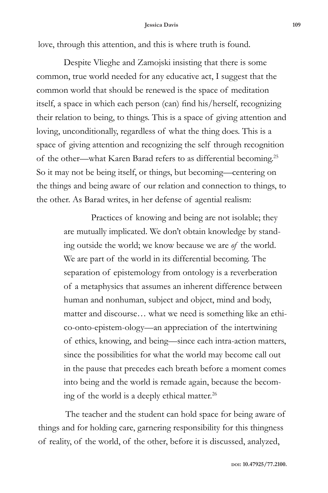#### **Jessica Davis 109**

love, through this attention, and this is where truth is found.

Despite Vlieghe and Zamojski insisting that there is some common, true world needed for any educative act, I suggest that the common world that should be renewed is the space of meditation itself, a space in which each person (can) find his/herself, recognizing their relation to being, to things. This is a space of giving attention and loving, unconditionally, regardless of what the thing does. This is a space of giving attention and recognizing the self through recognition of the other—what Karen Barad refers to as differential becoming.25 So it may not be being itself, or things, but becoming—centering on the things and being aware of our relation and connection to things, to the other. As Barad writes, in her defense of agential realism:

> Practices of knowing and being are not isolable; they are mutually implicated. We don't obtain knowledge by standing outside the world; we know because we are *of* the world. We are part of the world in its differential becoming. The separation of epistemology from ontology is a reverberation of a metaphysics that assumes an inherent difference between human and nonhuman, subject and object, mind and body, matter and discourse… what we need is something like an ethico-onto-epistem-ology—an appreciation of the intertwining of ethics, knowing, and being—since each intra-action matters, since the possibilities for what the world may become call out in the pause that precedes each breath before a moment comes into being and the world is remade again, because the becoming of the world is a deeply ethical matter.26

The teacher and the student can hold space for being aware of things and for holding care, garnering responsibility for this thingness of reality, of the world, of the other, before it is discussed, analyzed,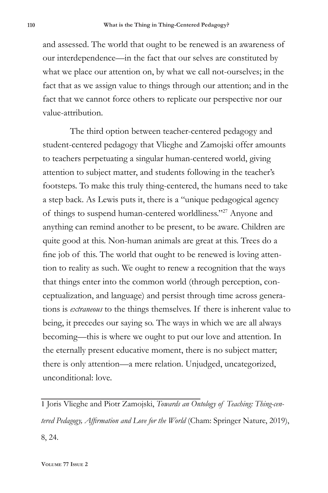and assessed. The world that ought to be renewed is an awareness of our interdependence—in the fact that our selves are constituted by what we place our attention on, by what we call not-ourselves; in the fact that as we assign value to things through our attention; and in the fact that we cannot force others to replicate our perspective nor our value-attribution.

The third option between teacher-centered pedagogy and student-centered pedagogy that Vlieghe and Zamojski offer amounts to teachers perpetuating a singular human-centered world, giving attention to subject matter, and students following in the teacher's footsteps. To make this truly thing-centered, the humans need to take a step back. As Lewis puts it, there is a "unique pedagogical agency of things to suspend human-centered worldliness."27 Anyone and anything can remind another to be present, to be aware. Children are quite good at this. Non-human animals are great at this. Trees do a fine job of this. The world that ought to be renewed is loving attention to reality as such. We ought to renew a recognition that the ways that things enter into the common world (through perception, conceptualization, and language) and persist through time across generations is *extraneous* to the things themselves. If there is inherent value to being, it precedes our saying so. The ways in which we are all always becoming—this is where we ought to put our love and attention. In the eternally present educative moment, there is no subject matter; there is only attention—a mere relation. Unjudged, uncategorized, unconditional: love.

1 Joris Vlieghe and Piotr Zamojski, *Towards an Ontology of Teaching: Thing-centered Pedagogy, Affirmation and Love for the World* (Cham: Springer Nature, 2019), 8, 24.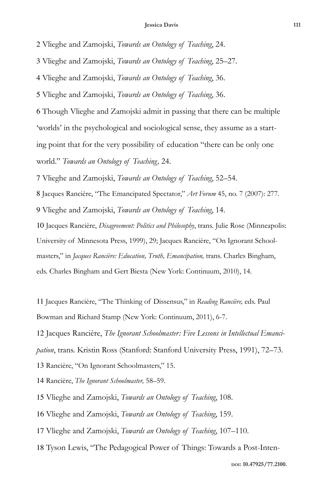#### **Jessica Davis 111**

Vlieghe and Zamojski, *Towards an Ontology of Teaching*, 24.

Vlieghe and Zamojski, *Towards an Ontology of Teaching*, 25–27.

Vlieghe and Zamojski, *Towards an Ontology of Teaching*, 36.

Vlieghe and Zamojski, *Towards an Ontology of Teaching*, 36.

 Though Vlieghe and Zamojski admit in passing that there can be multiple 'worlds' in the psychological and sociological sense, they assume as a starting point that for the very possibility of education "there can be only one world." *Towards an Ontology of Teaching,* 24.

Vlieghe and Zamojski, *Towards an Ontology of Teaching*, 52–54.

Jacques Rancière, "The Emancipated Spectator," *Art Forum* 45, no. 7 (2007): 277.

Vlieghe and Zamojski, *Towards an Ontology of Teaching*, 14.

 Jacques Rancière, *Disagreement: Politics and Philosophy*, trans. Julie Rose (Minneapolis: University of Minnesota Press, 1999), 29; Jacques Rancière, "On Ignorant Schoolmasters," in *Jacques Rancière: Education, Truth, Emancipation,* trans. Charles Bingham, eds. Charles Bingham and Gert Biesta (New York: Continuum, 2010), 14.

 Jacques Rancière, "The Thinking of Dissensus," in *Reading Rancière,* eds. Paul Bowman and Richard Stamp (New York: Continuum, 2011), 6-7.

 Jacques Rancière, *The Ignorant Schoolmaster: Five Lessons in Intellectual Emancipation*, trans. Kristin Ross (Stanford: Stanford University Press, 1991), 72–73. Rancière, "On Ignorant Schoolmasters," 15.

Rancière, *The Ignorant Schoolmaster,* 58–59.

Vlieghe and Zamojski, *Towards an Ontology of Teaching*, 108.

Vlieghe and Zamojski, *Towards an Ontology of Teaching*, 159.

Vlieghe and Zamojski, *Towards an Ontology of Teaching*, 107–110.

Tyson Lewis, "The Pedagogical Power of Things: Towards a Post-Inten-